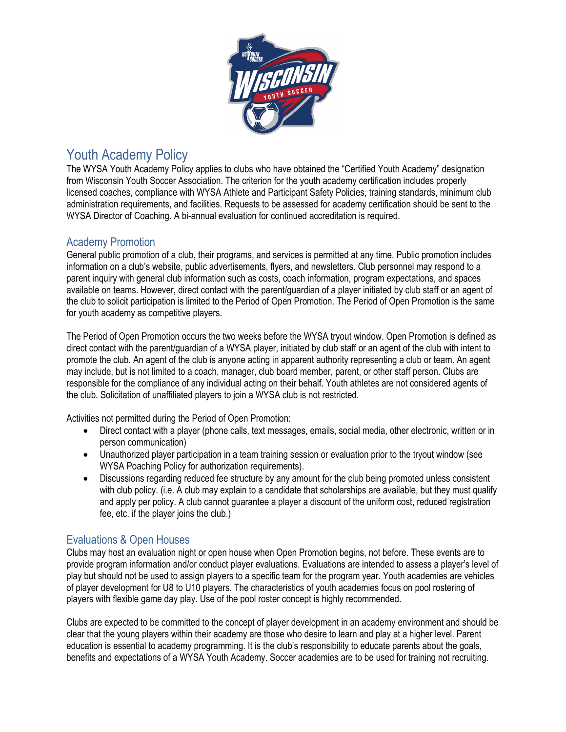

## Youth Academy Policy

The WYSA Youth Academy Policy applies to clubs who have obtained the "Certified Youth Academy" designation from Wisconsin Youth Soccer Association. The criterion for the youth academy certification includes properly licensed coaches, compliance with WYSA Athlete and Participant Safety Policies, training standards, minimum club administration requirements, and facilities. Requests to be assessed for academy certification should be sent to the WYSA Director of Coaching. A bi-annual evaluation for continued accreditation is required.

## Academy Promotion

General public promotion of a club, their programs, and services is permitted at any time. Public promotion includes information on a club's website, public advertisements, flyers, and newsletters. Club personnel may respond to a parent inquiry with general club information such as costs, coach information, program expectations, and spaces available on teams. However, direct contact with the parent/guardian of a player initiated by club staff or an agent of the club to solicit participation is limited to the Period of Open Promotion. The Period of Open Promotion is the same for youth academy as competitive players.

The Period of Open Promotion occurs the two weeks before the WYSA tryout window. Open Promotion is defined as direct contact with the parent/guardian of a WYSA player, initiated by club staff or an agent of the club with intent to promote the club. An agent of the club is anyone acting in apparent authority representing a club or team. An agent may include, but is not limited to a coach, manager, club board member, parent, or other staff person. Clubs are responsible for the compliance of any individual acting on their behalf. Youth athletes are not considered agents of the club. Solicitation of unaffiliated players to join a WYSA club is not restricted.

Activities not permitted during the Period of Open Promotion:

- Direct contact with a player (phone calls, text messages, emails, social media, other electronic, written or in person communication)
- Unauthorized player participation in a team training session or evaluation prior to the tryout window (see WYSA Poaching Policy for authorization requirements).
- Discussions regarding reduced fee structure by any amount for the club being promoted unless consistent with club policy, (i.e. A club may explain to a candidate that scholarships are available, but they must qualify and apply per policy. A club cannot guarantee a player a discount of the uniform cost, reduced registration fee, etc. if the player joins the club.)

## Evaluations & Open Houses

Clubs may host an evaluation night or open house when Open Promotion begins, not before. These events are to provide program information and/or conduct player evaluations. Evaluations are intended to assess a player's level of play but should not be used to assign players to a specific team for the program year. Youth academies are vehicles of player development for U8 to U10 players. The characteristics of youth academies focus on pool rostering of players with flexible game day play. Use of the pool roster concept is highly recommended.

Clubs are expected to be committed to the concept of player development in an academy environment and should be clear that the young players within their academy are those who desire to learn and play at a higher level. Parent education is essential to academy programming. It is the club's responsibility to educate parents about the goals, benefits and expectations of a WYSA Youth Academy. Soccer academies are to be used for training not recruiting.